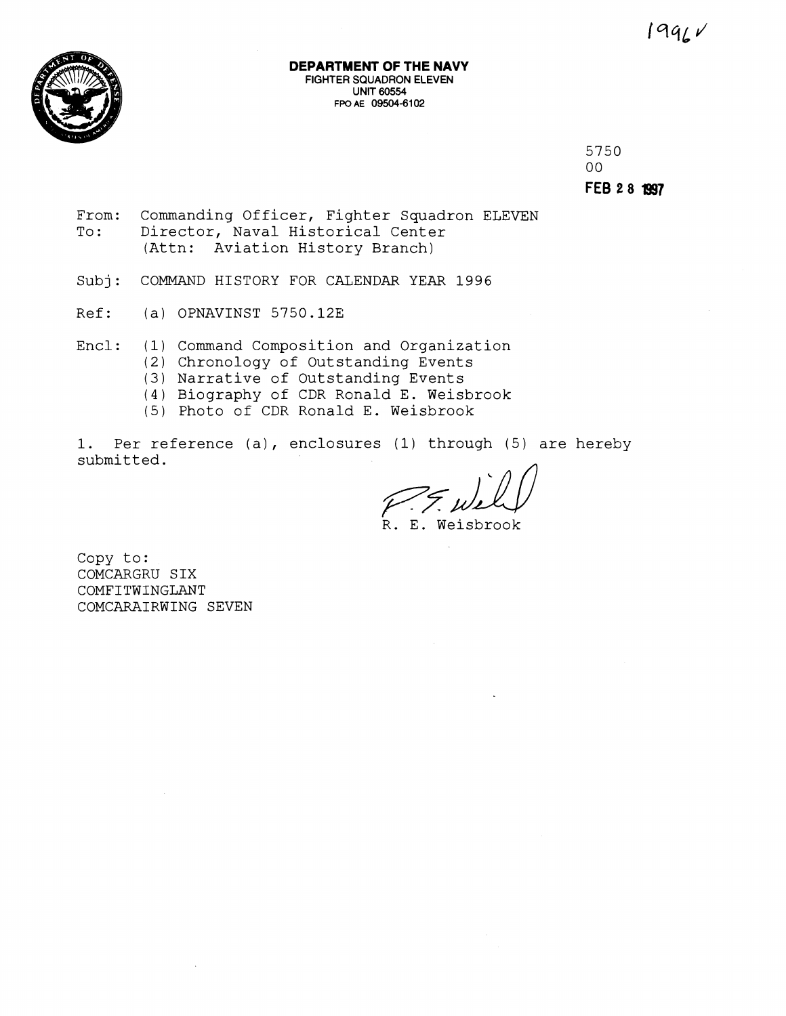

#### **DEPARTMENT OF THE NAVY FIGHTER** SQUADRON **ELEVEN**  UNIT 60554 **FPO A€ 09504-61 02**

5750  $00<sup>°</sup>$ **FEB 2 8 1997** 

- From: Commanding Officer, Fighter Squadron ELEVEN To: Director, Naval Historical Center (Attn: Aviation History Branch)
- Subj: COMMAND HISTORY FOR CALENDAR YEAR 1996
- Ref: (a) OPNAVINST 5750.12E

Encl: (1) Command Composition and Organization

- (2) Chronology of Outstanding Events
- (3) Narrative of Outstanding Events
- (4) Biography of CDR Ronald E. Weisbrook
- (5) Photo of CDR Ronald E. Weisbrook

1. Per reference (a), enclosures (1) through (5) are hereby submitted.

R. E. Weisbrook

Copy to: COMCARGRU S IX COMFITWINGLANT COMCARAIRWING SEVEN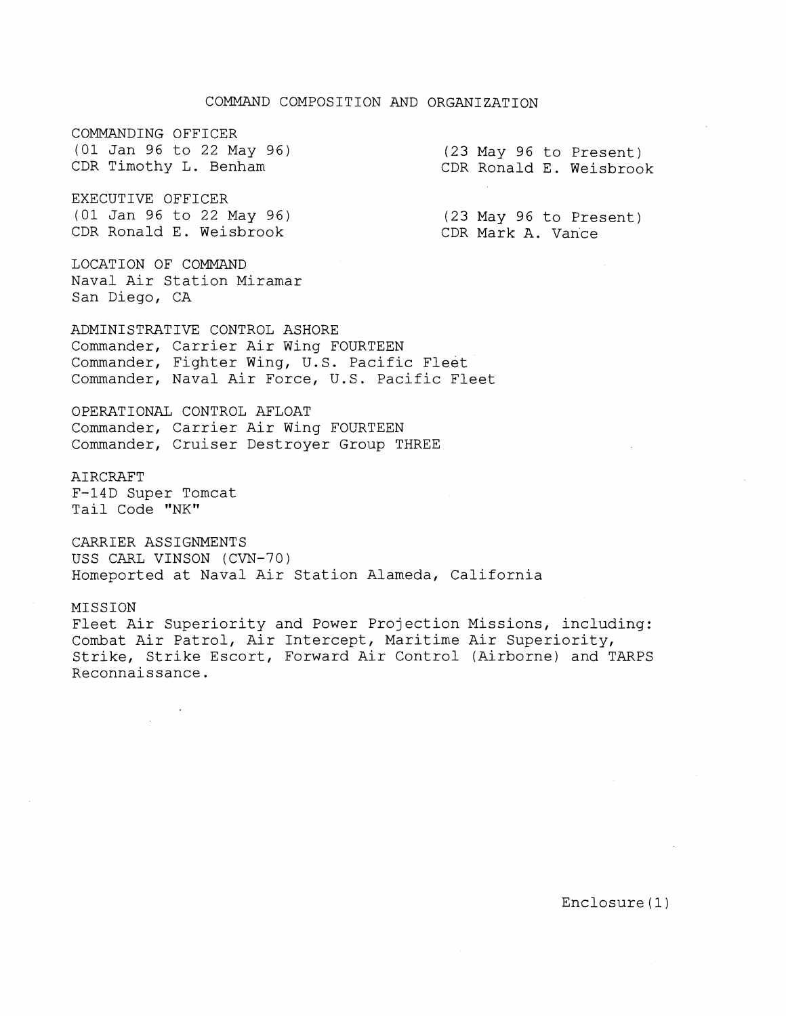# COMMAND COMPOSITION AND ORGANIZATION

COMMANDING OFFICER (01 Jan 96 to 22 May 96) CDR Timothy L. Benham

(23 May 96 to Present) CDR Ronald E. Weisbrook

EXECUTIVE OFFICER (01 Jan 96 to 22 May 96) CDR Ronald E. Weisbrook

(23 May 96 to Present) CDR Mark A. Vance

LOCATION OF COMMAND Naval Air Station Miramar San Diego, CA

ADMINISTRATIVE CONTROL ASHORE Commander, Carrier Air Wing FOURTEEN Commander, Fighter Wing, U.S. Pacific Fleet Commander, Naval Air Force, U.S. Pacific Fleet

OPERATIONAL CONTROL AFLOAT Commander, Carrier Air Wing FOURTEEN Commander, Cruiser Destroyer Group THREE

AIRCRAFT F-14D Super Tomcat Tail Code "NK"

CARRIER ASSIGNMENTS USS CARL VINSON (CVN-70) Homeported at Naval Air Station Alameda, California

MISSION

Fleet Air Superiority and Power Projection Missions, including: Combat Air Patrol, Air Intercept, Maritime Air Superiority, Strike, Strike Escort, Forward Air Control (Airborne) and TARPS Reconnaissance.

Enclosure (1)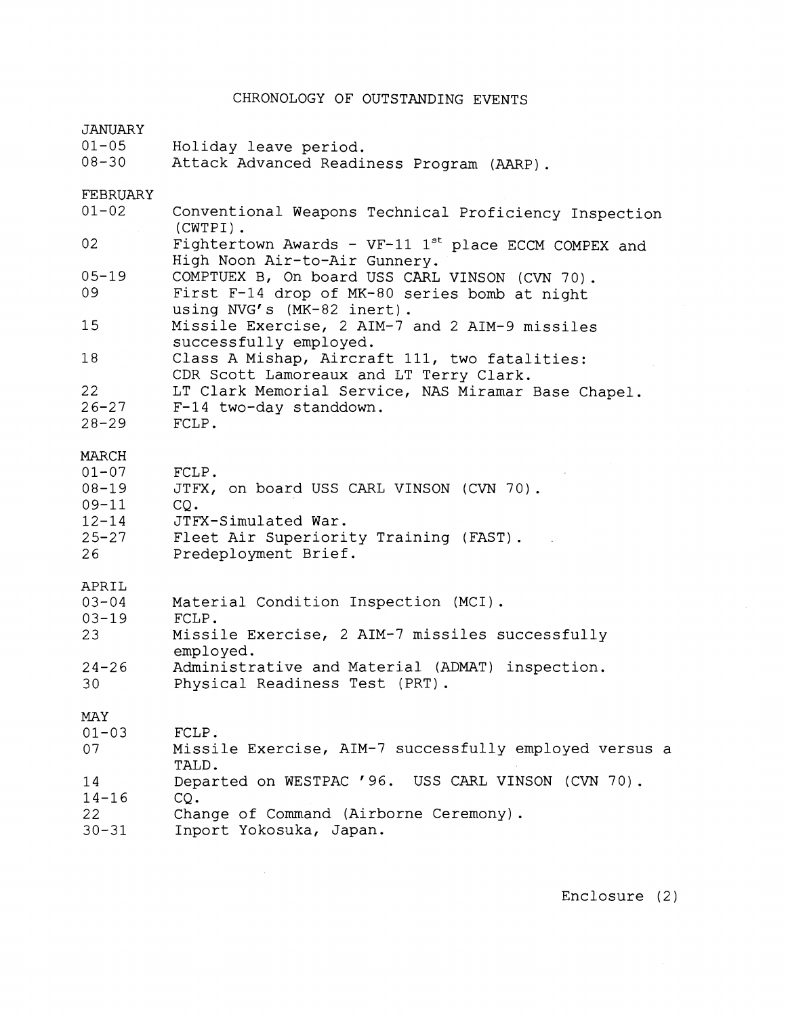# CHRONOLOGY OF OUTSTANDING EVENTS

| <b>JANUARY</b><br>$01 - 05$<br>$08 - 30$                                     | Holiday leave period.<br>Attack Advanced Readiness Program (AARP).                                                                                |
|------------------------------------------------------------------------------|---------------------------------------------------------------------------------------------------------------------------------------------------|
| FEBRUARY<br>$01 - 02$                                                        | Conventional Weapons Technical Proficiency Inspection                                                                                             |
|                                                                              | $(CWTPI)$ .                                                                                                                                       |
| 02                                                                           | Fightertown Awards - $VF-11$ 1 <sup>st</sup> place ECCM COMPEX and<br>High Noon Air-to-Air Gunnery.                                               |
| $05 - 19$<br>09                                                              | COMPTUEX B, On board USS CARL VINSON (CVN 70).<br>First F-14 drop of MK-80 series bomb at night<br>using NVG's (MK-82 inert).                     |
| 15                                                                           | Missile Exercise, 2 AIM-7 and 2 AIM-9 missiles<br>successfully employed.                                                                          |
| 18                                                                           | Class A Mishap, Aircraft 111, two fatalities:<br>CDR Scott Lamoreaux and LT Terry Clark.                                                          |
| 22                                                                           | LT Clark Memorial Service, NAS Miramar Base Chapel.                                                                                               |
| $26 - 27$<br>$28 - 29$                                                       | F-14 two-day standdown.<br>FCLP.                                                                                                                  |
| MARCH<br>$01 - 07$<br>$08 - 19$<br>$09 - 11$<br>$12 - 14$<br>$25 - 27$<br>26 | FCLP.<br>JTFX, on board USS CARL VINSON (CVN 70).<br>CO.<br>JTFX-Simulated War.<br>Fleet Air Superiority Training (FAST).<br>Predeployment Brief. |
| APRIL<br>$03 - 04$<br>$03 - 19$<br>23                                        | Material Condition Inspection (MCI).<br>FCLP.<br>Missile Exercise, 2 AIM-7 missiles successfully<br>employed.                                     |
| $24 - 26$<br>30                                                              | Administrative and Material (ADMAT) inspection.<br>Physical Readiness Test (PRT).                                                                 |
| <b>MAY</b>                                                                   |                                                                                                                                                   |
| $01 - 03$<br>07                                                              | FCLP.<br>Missile Exercise, AIM-7 successfully employed versus a<br>TALD.                                                                          |
| 14<br>$14 - 16$<br>22<br>$30 - 31$                                           | Departed on WESTPAC '96. USS CARL VINSON (CVN 70).<br>$CQ$ .<br>Change of Command (Airborne Ceremony).<br>Inport Yokosuka, Japan.                 |

 $\label{eq:2.1} \frac{1}{\sqrt{2}}\int_{\mathbb{R}^3}\frac{1}{\sqrt{2}}\left(\frac{1}{\sqrt{2}}\right)^2\frac{1}{\sqrt{2}}\left(\frac{1}{\sqrt{2}}\right)^2\frac{1}{\sqrt{2}}\left(\frac{1}{\sqrt{2}}\right)^2\frac{1}{\sqrt{2}}\left(\frac{1}{\sqrt{2}}\right)^2.$ 

Enclosure (2)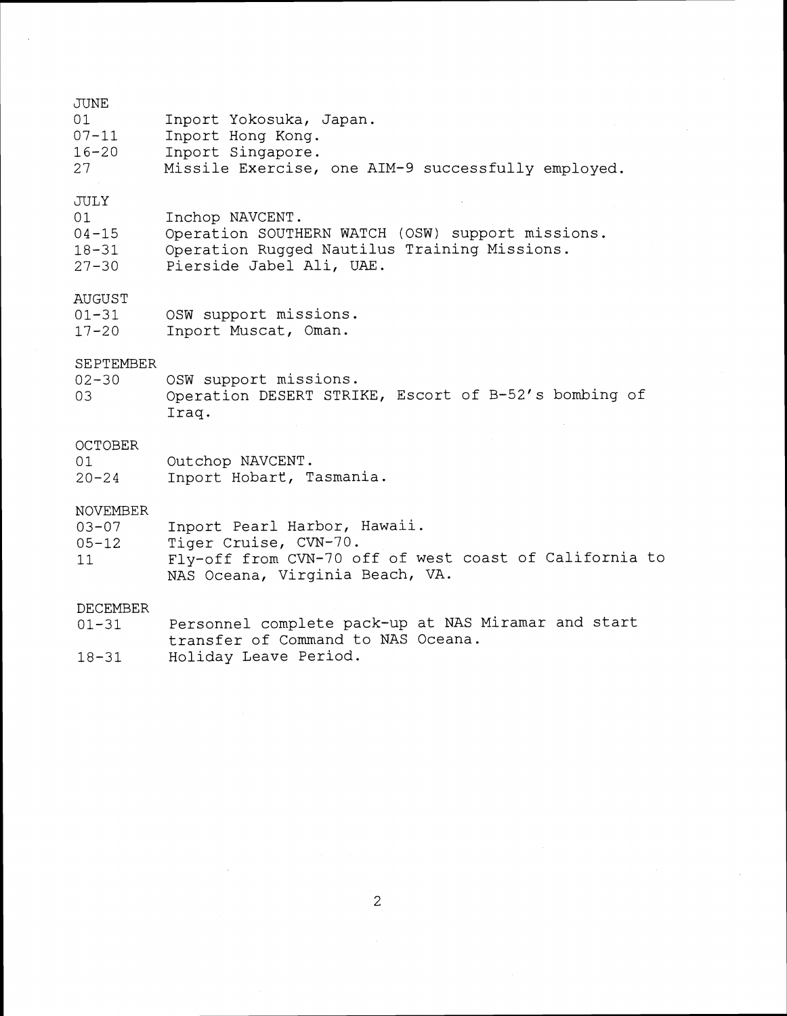| JUNE      |                                                    |
|-----------|----------------------------------------------------|
| -01       | Inport Yokosuka, Japan.                            |
| $07 - 11$ | Inport Hong Kong.                                  |
| $16 - 20$ | Inport Singapore.                                  |
| 27        | Missile Exercise, one AIM-9 successfully employed. |

# JULY

- 
- 01 Inchop NAVCENT.<br>04-15 Operation SOUTHERN WATCH (OSW) support missions.<br>18-31 Operation Rugged Nautilus Training Missions. 18-31 Operation Rugged Nautilus Training Missions.<br>27-30 Pierside Jabel Ali, UAE.
- Pierside Jabel Ali, UAE.

### AUGUST

| 01-31 | OSW support missions. |  |
|-------|-----------------------|--|
| 17-20 | Inport Muscat, Oman.  |  |

# SEPTEMBER<br>02-30

02-30 OSW support missions.<br>03 Operation DESERT STRI Operation DESERT STRIKE, Escort of B-52's bombing of Iraq.

## **OCTOBER**

01 00tchop NAVCENT.<br>20-24 Inport Hobart, T Inport Hobart, Tasmania.

### NOVEMBER

| $03 - 07$ |  | Inport Pearl Harbor, Hawaii. |  |
|-----------|--|------------------------------|--|
|           |  |                              |  |

- 05-12 Tiger Cruise, CVN-70.
- 11 Fly-off from CVN-70 off of west coast of California to NAS Oceana, Virginia Beach, VA.

### DECEMBER

- 01-31 Personnel complete pack-up at NAS Miramar and start transfer of Command to NAS Oceana.
- 18-31 Holiday Leave Period.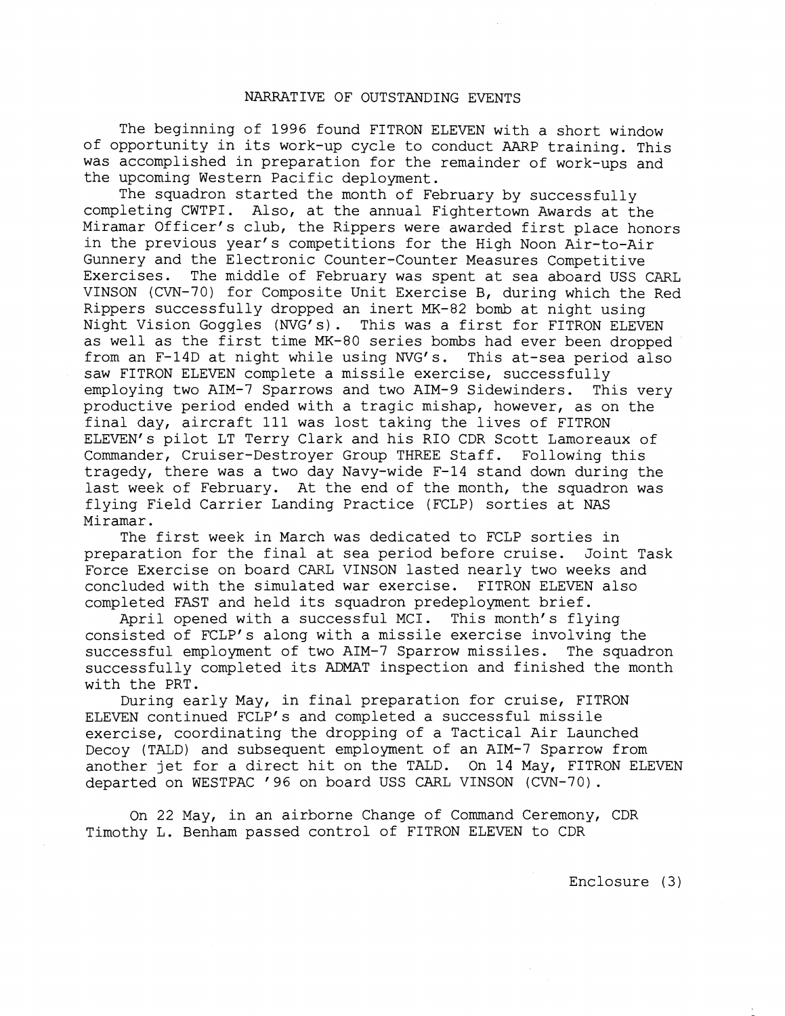### NARRATIVE OF OUTSTANDING EVENTS

The beginning of 1996 found FITRON ELEVEN with a short window of opportunity in its work-up cycle to conduct AARP training. This was accomplished in preparation for the remainder of work-ups and the upcoming Western Pacific deployment.

The squadron started the month of February by successfully completing CWTPI. Also, at the annual Fightertown Awards at the Miramar Officer's club, the Rippers were awarded first place honors in the previous year's competitions for the High Noon Air-to-Air Gunnery and the Electronic Counter-Counter Measures Competitive<br>Exercises. The middle of February was spent at sea aboard USS ( The middle of February was spent at sea aboard USS CARL VINSON (CVN-70) for Composite Unit Exercise B, during which the Red Rippers successfully dropped an inert MK-82 bomb at night using Night Vision Goggles (NVG's). This was a first for FITRON ELEVEN as well as the first time MK-80 series bombs had ever been dropped from an F-14D at night while using NVG's. This at-sea period also saw FITRON ELEVEN complete a missile exercise, successfully employing two AIM-7 Sparrows and two AIM-9 Sidewinders. This very productive period ended with a tragic mishap, however, as on the final day, aircraft 111 was lost taking the lives of FITRON ELEVEN'S pilot LT Terry Clark and his RIO CDR Scott Lamoreaux of Commander, Cruiser-Destroyer Group THREE Staff. Following this tragedy, there was a two day Navy-wide F-14 stand down during the last week of February. At the end of the month, the squadron was flying Field Carrier Landing Practice (FCLP) sorties at NAS Miramar.<br>The first week in March was dedicated to FCLP sorties in

preparation for the final at sea period before cruise. Joint Task Force Exercise on board CARL VINSON lasted nearly two weeks and concluded with the simulated war exercise. FITRON ELEVEN also completed FAST and held its squadron predeployment brief.

April opened with a successful MCI. This month's flying consisted of FCLP's along with a missile exercise involving the successful employment of two AIM-7 Sparrow missiles. The squadron successfully completed its ADMAT inspection and finished the month with the PRT.

During early May, in final preparation for cruise, FITRON ELEVEN continued FCLPfs and completed a successful missile exercise, coordinating the dropping of a Tactical Air Launched Decoy (TALD) and subsequent employment of an AIM-7 Sparrow from another jet for a direct hit on the TALD. On 14 May, FITRON ELEVEN departed on WESTPAC '96 on board USS CARL VINSON (CVN-70).

On 22 May, in an airborne Change of Comand Ceremony, CDR Timothy L. Benham passed control of FITRON ELEVEN to CDR

Enclosure (3)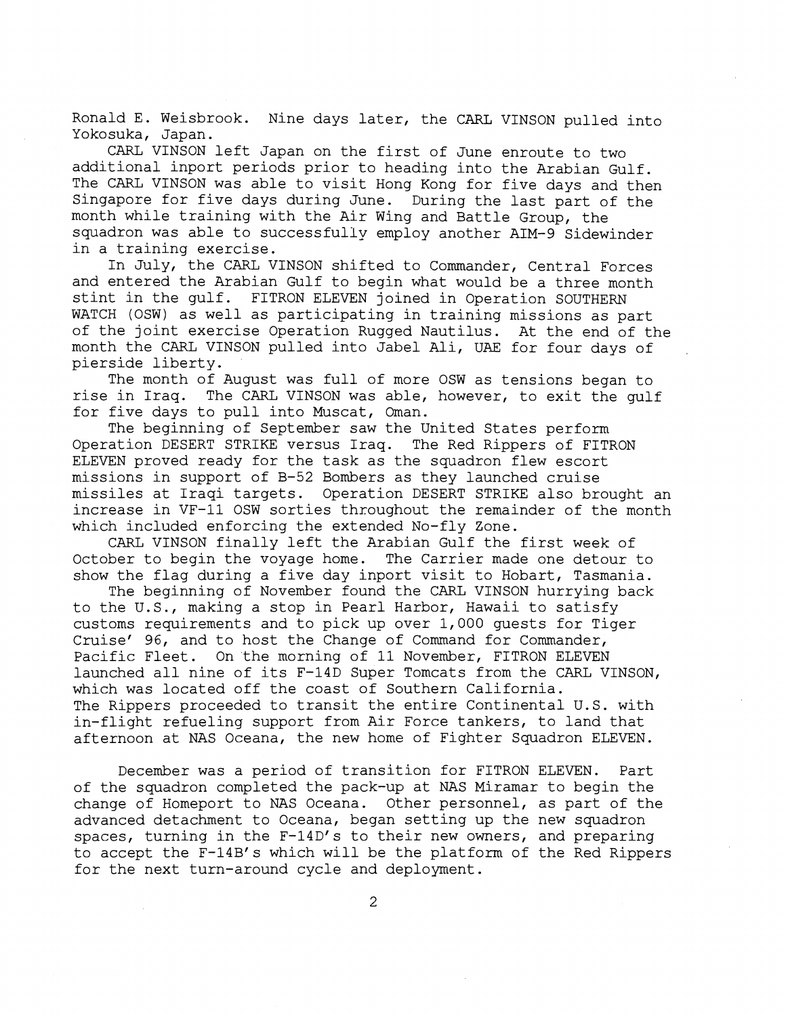Ronald E. Weisbrook. Nine days later, the CARL VINSON pulled into Yokosuka, Japan.

CARL VINSON left Japan on the first of June enroute to two additional inport periods prior to heading into the Arabian Gulf. The CARL VINSON was able to visit Hong Kong for five days and then Singapore for five days during June. During the last part of the month while training with the Air Wing and Battle Group, the squadron was able to successfully employ another AIM-9 Sidewinder in a training exercise.

In July, the CARL VINSON shifted to Commander, Central Forces and entered the Arabian Gulf to begin what would be a three month stint in the gulf. FITRON ELEVEN joined in Operation SOUTHERN WATCH (OSW) as well as participating in training missions as part of the joint exercise Operation Rugged Nautilus. At the end of the month the CARL VINSON pulled into Jabel Ali, UAE for four days of pierside liberty.

The month of August was full of more OSW as tensions began to rise in Iraq. The CARL VINSON was able, however, to exit the gulf for five days to pull into Muscat, Oman.

The beginning of September saw the United States perform Operation DESERT STRIKE versus Iraq. The Red Rippers of FITRON ELEVEN proved ready for the task as the squadron flew escort missions in support of B-52 Bombers as they launched cruise missiles at Iraqi targets. Operation DESERT STRIKE also brought an increase in VF-11 OSW sorties throughout the remainder of the month which included enforcing the extended No-fly Zone.

CARL VINSON finally left the Arabian Gulf the first week of October to begin the voyage home. The Carrier made one detour to show the flag during a five day inport visit to Hobart, Tasmania.

The beginning of November found the CARL VINSON hurrying back to the U.S., making a stop in Pearl Harbor, Hawaii to satisfy customs requirements and to pick up over 1,000 guests for Tiger Cruisef 96, and to host the Change of Command for Commander, Pacific Fleet. On the morning of 11 November, FITRON ELEVEN launched all nine of its F-14D Super Tomcats from the CARL VINSON, which was located off the coast of Southern California. The Rippers proceeded to transit the entire Continental U.S. with in-flight refueling support from Air Force tankers, to land that afternoon at NAS Oceana, the new home of Fighter Squadron ELEVEN.

December was a period of transition for FITRON ELEVEN. Part of the squadron completed the pack-up at NAS Miramar to begin the change of Homeport to NAS Oceana. Other personnel, as part of the advanced detachment to Oceana, began setting up the new squadron spaces, turning in the F-14D's to their new owners, and preparing to accept the F-14B's which will be the platform of the Red Rippers for the next turn-around cycle and deployment.